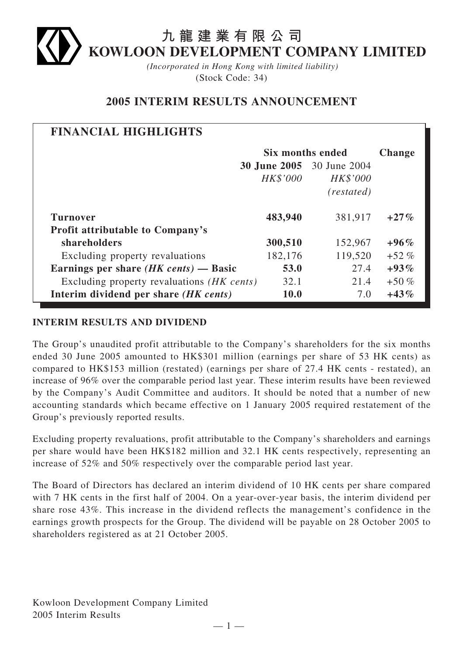# **九龍建業有限公司 KOWLOON DEVELOPMENT COMPANY LIMITED**

*(Incorporated in Hong Kong with limited liability)* (Stock Code: 34)

# **2005 INTERIM RESULTS ANNOUNCEMENT**

| <b>FINANCIAL HIGHLIGHTS</b>                     |                  |                                  |               |
|-------------------------------------------------|------------------|----------------------------------|---------------|
|                                                 | Six months ended |                                  | <b>Change</b> |
|                                                 |                  | <b>30 June 2005</b> 30 June 2004 |               |
|                                                 | HK\$'000         | <b>HK\$'000</b>                  |               |
|                                                 |                  | (restated)                       |               |
| <b>Turnover</b>                                 | 483,940          | 381,917                          | $+27\%$       |
| <b>Profit attributable to Company's</b>         |                  |                                  |               |
| shareholders                                    | 300,510          | 152,967                          | $+96\%$       |
| Excluding property revaluations                 | 182,176          | 119,520                          | $+52\%$       |
| Earnings per share $(HK \text{ cents})$ — Basic | 53.0             | 27.4                             | $+93\%$       |
| Excluding property revaluations (HK cents)      | 32.1             | 21.4                             | $+50\%$       |
| Interim dividend per share (HK cents)           | 10.0             | 7.0                              | $+43\%$       |

# **INTERIM RESULTS AND DIVIDEND**

The Group's unaudited profit attributable to the Company's shareholders for the six months ended 30 June 2005 amounted to HK\$301 million (earnings per share of 53 HK cents) as compared to HK\$153 million (restated) (earnings per share of 27.4 HK cents - restated), an increase of 96% over the comparable period last year. These interim results have been reviewed by the Company's Audit Committee and auditors. It should be noted that a number of new accounting standards which became effective on 1 January 2005 required restatement of the Group's previously reported results.

Excluding property revaluations, profit attributable to the Company's shareholders and earnings per share would have been HK\$182 million and 32.1 HK cents respectively, representing an increase of 52% and 50% respectively over the comparable period last year.

The Board of Directors has declared an interim dividend of 10 HK cents per share compared with 7 HK cents in the first half of 2004. On a year-over-year basis, the interim dividend per share rose 43%. This increase in the dividend reflects the management's confidence in the earnings growth prospects for the Group. The dividend will be payable on 28 October 2005 to shareholders registered as at 21 October 2005.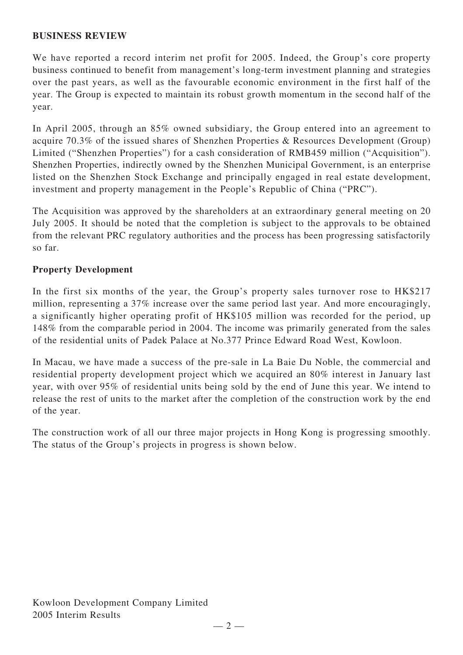# **BUSINESS REVIEW**

We have reported a record interim net profit for 2005. Indeed, the Group's core property business continued to benefit from management's long-term investment planning and strategies over the past years, as well as the favourable economic environment in the first half of the year. The Group is expected to maintain its robust growth momentum in the second half of the year.

In April 2005, through an 85% owned subsidiary, the Group entered into an agreement to acquire 70.3% of the issued shares of Shenzhen Properties & Resources Development (Group) Limited ("Shenzhen Properties") for a cash consideration of RMB459 million ("Acquisition"). Shenzhen Properties, indirectly owned by the Shenzhen Municipal Government, is an enterprise listed on the Shenzhen Stock Exchange and principally engaged in real estate development, investment and property management in the People's Republic of China ("PRC").

The Acquisition was approved by the shareholders at an extraordinary general meeting on 20 July 2005. It should be noted that the completion is subject to the approvals to be obtained from the relevant PRC regulatory authorities and the process has been progressing satisfactorily so far.

# **Property Development**

In the first six months of the year, the Group's property sales turnover rose to HK\$217 million, representing a 37% increase over the same period last year. And more encouragingly, a significantly higher operating profit of HK\$105 million was recorded for the period, up 148% from the comparable period in 2004. The income was primarily generated from the sales of the residential units of Padek Palace at No.377 Prince Edward Road West, Kowloon.

In Macau, we have made a success of the pre-sale in La Baie Du Noble, the commercial and residential property development project which we acquired an 80% interest in January last year, with over 95% of residential units being sold by the end of June this year. We intend to release the rest of units to the market after the completion of the construction work by the end of the year.

The construction work of all our three major projects in Hong Kong is progressing smoothly. The status of the Group's projects in progress is shown below.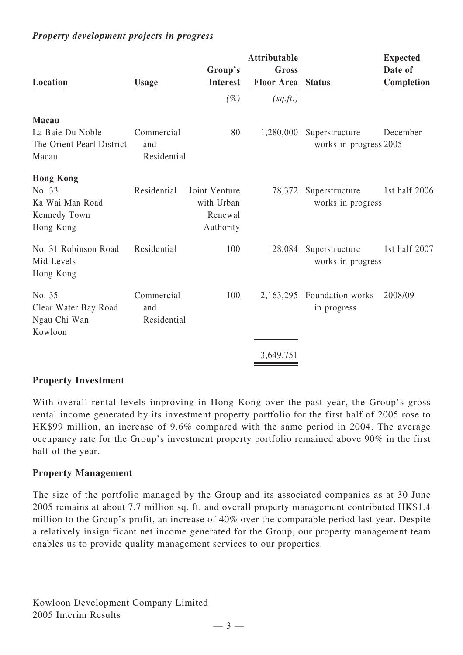# *Property development projects in progress*

| Location                                                                   | <b>Usage</b>                     | Group's<br><b>Interest</b>                          | <b>Attributable</b><br>Gross<br><b>Floor Area</b> | <b>Status</b>                            | <b>Expected</b><br>Date of<br>Completion |
|----------------------------------------------------------------------------|----------------------------------|-----------------------------------------------------|---------------------------------------------------|------------------------------------------|------------------------------------------|
|                                                                            |                                  | $(\%)$                                              | (sq.ft.)                                          |                                          |                                          |
| <b>Macau</b><br>La Baie Du Noble<br>The Orient Pearl District<br>Macau     | Commercial<br>and<br>Residential | 80                                                  | 1,280,000                                         | Superstructure<br>works in progress 2005 | December                                 |
| <b>Hong Kong</b><br>No. 33<br>Ka Wai Man Road<br>Kennedy Town<br>Hong Kong | Residential                      | Joint Venture<br>with Urban<br>Renewal<br>Authority | 78,372                                            | Superstructure<br>works in progress      | 1st half 2006                            |
| No. 31 Robinson Road<br>Mid-Levels<br>Hong Kong                            | Residential                      | 100                                                 | 128,084                                           | Superstructure<br>works in progress      | 1st half 2007                            |
| No. 35<br>Clear Water Bay Road<br>Ngau Chi Wan<br>Kowloon                  | Commercial<br>and<br>Residential | 100                                                 | 2,163,295                                         | Foundation works<br>in progress          | 2008/09                                  |
|                                                                            |                                  |                                                     | 3,649,751                                         |                                          |                                          |

### **Property Investment**

With overall rental levels improving in Hong Kong over the past year, the Group's gross rental income generated by its investment property portfolio for the first half of 2005 rose to HK\$99 million, an increase of 9.6% compared with the same period in 2004. The average occupancy rate for the Group's investment property portfolio remained above 90% in the first half of the year.

### **Property Management**

The size of the portfolio managed by the Group and its associated companies as at 30 June 2005 remains at about 7.7 million sq. ft. and overall property management contributed HK\$1.4 million to the Group's profit, an increase of 40% over the comparable period last year. Despite a relatively insignificant net income generated for the Group, our property management team enables us to provide quality management services to our properties.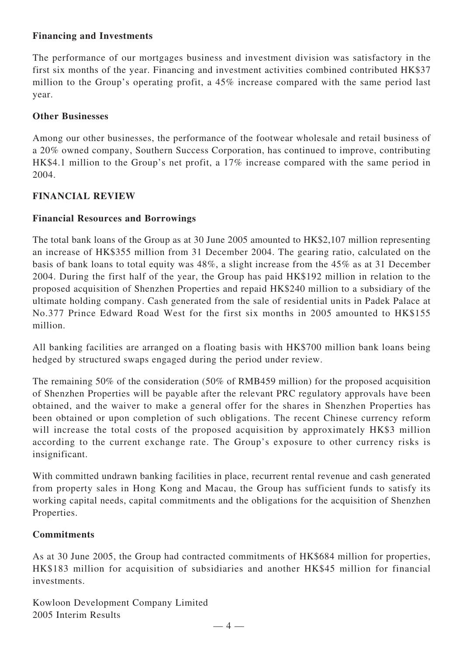# **Financing and Investments**

The performance of our mortgages business and investment division was satisfactory in the first six months of the year. Financing and investment activities combined contributed HK\$37 million to the Group's operating profit, a 45% increase compared with the same period last year.

# **Other Businesses**

Among our other businesses, the performance of the footwear wholesale and retail business of a 20% owned company, Southern Success Corporation, has continued to improve, contributing HK\$4.1 million to the Group's net profit, a 17% increase compared with the same period in 2004.

# **FINANCIAL REVIEW**

# **Financial Resources and Borrowings**

The total bank loans of the Group as at 30 June 2005 amounted to HK\$2,107 million representing an increase of HK\$355 million from 31 December 2004. The gearing ratio, calculated on the basis of bank loans to total equity was 48%, a slight increase from the 45% as at 31 December 2004. During the first half of the year, the Group has paid HK\$192 million in relation to the proposed acquisition of Shenzhen Properties and repaid HK\$240 million to a subsidiary of the ultimate holding company. Cash generated from the sale of residential units in Padek Palace at No.377 Prince Edward Road West for the first six months in 2005 amounted to HK\$155 million.

All banking facilities are arranged on a floating basis with HK\$700 million bank loans being hedged by structured swaps engaged during the period under review.

The remaining 50% of the consideration (50% of RMB459 million) for the proposed acquisition of Shenzhen Properties will be payable after the relevant PRC regulatory approvals have been obtained, and the waiver to make a general offer for the shares in Shenzhen Properties has been obtained or upon completion of such obligations. The recent Chinese currency reform will increase the total costs of the proposed acquisition by approximately HK\$3 million according to the current exchange rate. The Group's exposure to other currency risks is insignificant.

With committed undrawn banking facilities in place, recurrent rental revenue and cash generated from property sales in Hong Kong and Macau, the Group has sufficient funds to satisfy its working capital needs, capital commitments and the obligations for the acquisition of Shenzhen Properties.

# **Commitments**

As at 30 June 2005, the Group had contracted commitments of HK\$684 million for properties, HK\$183 million for acquisition of subsidiaries and another HK\$45 million for financial investments.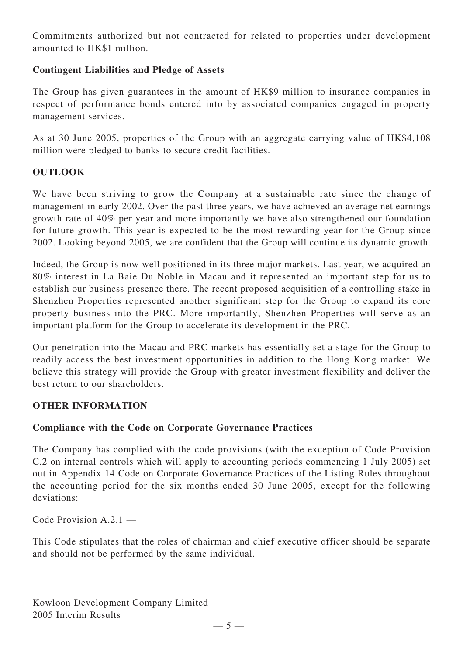Commitments authorized but not contracted for related to properties under development amounted to HK\$1 million.

# **Contingent Liabilities and Pledge of Assets**

The Group has given guarantees in the amount of HK\$9 million to insurance companies in respect of performance bonds entered into by associated companies engaged in property management services.

As at 30 June 2005, properties of the Group with an aggregate carrying value of HK\$4,108 million were pledged to banks to secure credit facilities.

# **OUTLOOK**

We have been striving to grow the Company at a sustainable rate since the change of management in early 2002. Over the past three years, we have achieved an average net earnings growth rate of 40% per year and more importantly we have also strengthened our foundation for future growth. This year is expected to be the most rewarding year for the Group since 2002. Looking beyond 2005, we are confident that the Group will continue its dynamic growth.

Indeed, the Group is now well positioned in its three major markets. Last year, we acquired an 80% interest in La Baie Du Noble in Macau and it represented an important step for us to establish our business presence there. The recent proposed acquisition of a controlling stake in Shenzhen Properties represented another significant step for the Group to expand its core property business into the PRC. More importantly, Shenzhen Properties will serve as an important platform for the Group to accelerate its development in the PRC.

Our penetration into the Macau and PRC markets has essentially set a stage for the Group to readily access the best investment opportunities in addition to the Hong Kong market. We believe this strategy will provide the Group with greater investment flexibility and deliver the best return to our shareholders.

# **OTHER INFORMATION**

# **Compliance with the Code on Corporate Governance Practices**

The Company has complied with the code provisions (with the exception of Code Provision C.2 on internal controls which will apply to accounting periods commencing 1 July 2005) set out in Appendix 14 Code on Corporate Governance Practices of the Listing Rules throughout the accounting period for the six months ended 30 June 2005, except for the following deviations:

Code Provision A.2.1 —

This Code stipulates that the roles of chairman and chief executive officer should be separate and should not be performed by the same individual.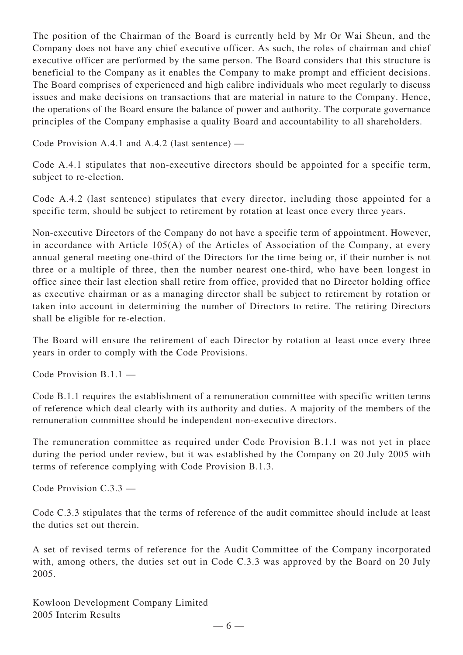The position of the Chairman of the Board is currently held by Mr Or Wai Sheun, and the Company does not have any chief executive officer. As such, the roles of chairman and chief executive officer are performed by the same person. The Board considers that this structure is beneficial to the Company as it enables the Company to make prompt and efficient decisions. The Board comprises of experienced and high calibre individuals who meet regularly to discuss issues and make decisions on transactions that are material in nature to the Company. Hence, the operations of the Board ensure the balance of power and authority. The corporate governance principles of the Company emphasise a quality Board and accountability to all shareholders.

Code Provision A.4.1 and A.4.2 (last sentence) —

Code A.4.1 stipulates that non-executive directors should be appointed for a specific term, subject to re-election.

Code A.4.2 (last sentence) stipulates that every director, including those appointed for a specific term, should be subject to retirement by rotation at least once every three years.

Non-executive Directors of the Company do not have a specific term of appointment. However, in accordance with Article 105(A) of the Articles of Association of the Company, at every annual general meeting one-third of the Directors for the time being or, if their number is not three or a multiple of three, then the number nearest one-third, who have been longest in office since their last election shall retire from office, provided that no Director holding office as executive chairman or as a managing director shall be subject to retirement by rotation or taken into account in determining the number of Directors to retire. The retiring Directors shall be eligible for re-election.

The Board will ensure the retirement of each Director by rotation at least once every three years in order to comply with the Code Provisions.

Code Provision B.1.1 —

Code B.1.1 requires the establishment of a remuneration committee with specific written terms of reference which deal clearly with its authority and duties. A majority of the members of the remuneration committee should be independent non-executive directors.

The remuneration committee as required under Code Provision B.1.1 was not yet in place during the period under review, but it was established by the Company on 20 July 2005 with terms of reference complying with Code Provision B.1.3.

Code Provision C.3.3 —

Code C.3.3 stipulates that the terms of reference of the audit committee should include at least the duties set out therein.

A set of revised terms of reference for the Audit Committee of the Company incorporated with, among others, the duties set out in Code C.3.3 was approved by the Board on 20 July 2005.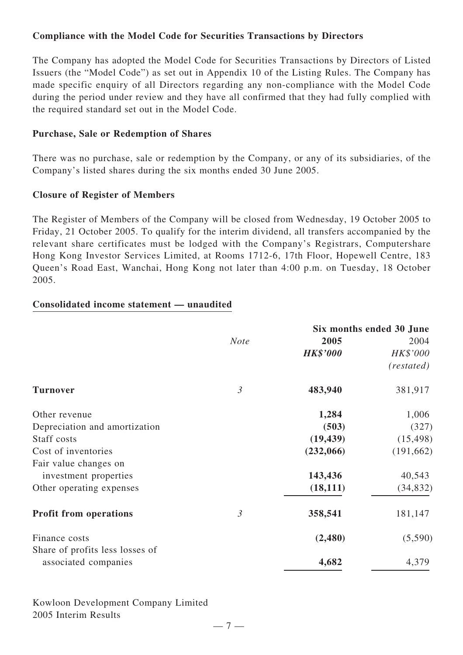# **Compliance with the Model Code for Securities Transactions by Directors**

The Company has adopted the Model Code for Securities Transactions by Directors of Listed Issuers (the "Model Code") as set out in Appendix 10 of the Listing Rules. The Company has made specific enquiry of all Directors regarding any non-compliance with the Model Code during the period under review and they have all confirmed that they had fully complied with the required standard set out in the Model Code.

# **Purchase, Sale or Redemption of Shares**

There was no purchase, sale or redemption by the Company, or any of its subsidiaries, of the Company's listed shares during the six months ended 30 June 2005.

# **Closure of Register of Members**

The Register of Members of the Company will be closed from Wednesday, 19 October 2005 to Friday, 21 October 2005. To qualify for the interim dividend, all transfers accompanied by the relevant share certificates must be lodged with the Company's Registrars, Computershare Hong Kong Investor Services Limited, at Rooms 1712-6, 17th Floor, Hopewell Centre, 183 Queen's Road East, Wanchai, Hong Kong not later than 4:00 p.m. on Tuesday, 18 October 2005.

# **Consolidated income statement — unaudited**

|                                 |                | Six months ended 30 June |            |  |
|---------------------------------|----------------|--------------------------|------------|--|
|                                 | <b>Note</b>    | 2005                     | 2004       |  |
|                                 |                | <b>HK\$'000</b>          | HK\$'000   |  |
|                                 |                |                          | (restated) |  |
| <b>Turnover</b>                 | $\mathfrak{Z}$ | 483,940                  | 381,917    |  |
| Other revenue                   |                | 1,284                    | 1,006      |  |
| Depreciation and amortization   |                | (503)                    | (327)      |  |
| Staff costs                     |                | (19, 439)                | (15, 498)  |  |
| Cost of inventories             |                | (232,066)                | (191, 662) |  |
| Fair value changes on           |                |                          |            |  |
| investment properties           |                | 143,436                  | 40,543     |  |
| Other operating expenses        |                | (18, 111)                | (34, 832)  |  |
| <b>Profit from operations</b>   | $\mathfrak{Z}$ | 358,541                  | 181,147    |  |
| Finance costs                   |                | (2,480)                  | (5,590)    |  |
| Share of profits less losses of |                |                          |            |  |
| associated companies            |                | 4,682                    | 4,379      |  |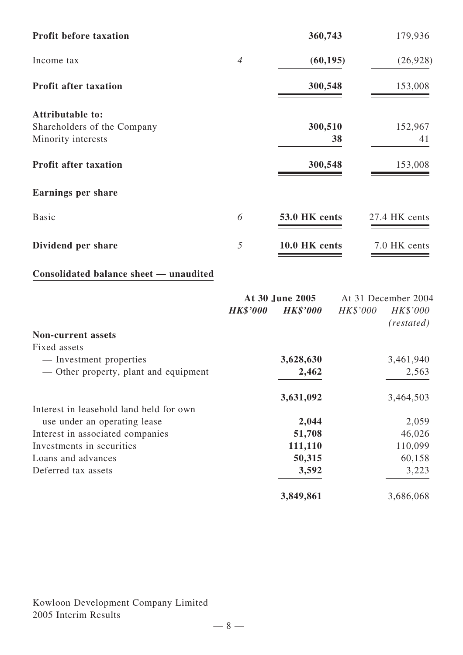| <b>Profit before taxation</b> |                | 360,743       | 179,936       |
|-------------------------------|----------------|---------------|---------------|
| Income tax                    | $\overline{4}$ | (60, 195)     | (26, 928)     |
| <b>Profit after taxation</b>  |                | 300,548       | 153,008       |
| <b>Attributable to:</b>       |                |               |               |
| Shareholders of the Company   |                | 300,510       | 152,967       |
| Minority interests            |                | 38            | 41            |
| <b>Profit after taxation</b>  |                | 300,548       | 153,008       |
| <b>Earnings per share</b>     |                |               |               |
| <b>Basic</b>                  | 6              | 53.0 HK cents | 27.4 HK cents |
| Dividend per share            | 5              | 10.0 HK cents | 7.0 HK cents  |

# **Consolidated balance sheet — unaudited**

|                                         | At 30 June 2005 |                 | At 31 December 2004 |                      |
|-----------------------------------------|-----------------|-----------------|---------------------|----------------------|
|                                         | <b>HK\$'000</b> | <b>HK\$'000</b> | HK\$'000            | HK\$'000<br>(rested) |
| <b>Non-current assets</b>               |                 |                 |                     |                      |
| Fixed assets                            |                 |                 |                     |                      |
| — Investment properties                 |                 | 3,628,630       |                     | 3,461,940            |
| — Other property, plant and equipment   |                 | 2,462           |                     | 2,563                |
|                                         |                 | 3,631,092       |                     | 3,464,503            |
| Interest in leasehold land held for own |                 |                 |                     |                      |
| use under an operating lease            |                 | 2,044           |                     | 2,059                |
| Interest in associated companies        |                 | 51,708          |                     | 46,026               |
| Investments in securities               |                 | 111,110         |                     | 110,099              |
| Loans and advances                      |                 | 50,315          |                     | 60,158               |
| Deferred tax assets                     |                 | 3,592           |                     | 3,223                |
|                                         |                 | 3,849,861       |                     | 3,686,068            |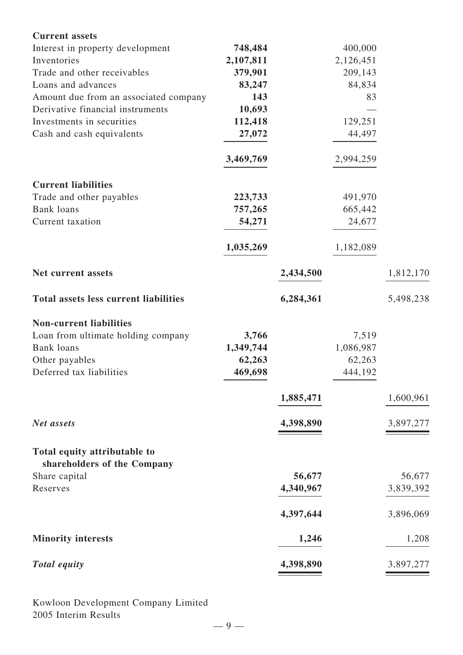| <b>Current assets</b>                                       |           |           |           |           |
|-------------------------------------------------------------|-----------|-----------|-----------|-----------|
| Interest in property development                            | 748,484   |           | 400,000   |           |
| Inventories                                                 | 2,107,811 |           | 2,126,451 |           |
| Trade and other receivables                                 | 379,901   |           | 209,143   |           |
| Loans and advances                                          | 83,247    |           | 84,834    |           |
| Amount due from an associated company                       | 143       |           | 83        |           |
| Derivative financial instruments                            | 10,693    |           |           |           |
| Investments in securities                                   | 112,418   |           | 129,251   |           |
| Cash and cash equivalents                                   | 27,072    |           | 44,497    |           |
|                                                             | 3,469,769 |           | 2,994,259 |           |
| <b>Current liabilities</b>                                  |           |           |           |           |
| Trade and other payables                                    | 223,733   |           | 491,970   |           |
| <b>Bank</b> loans                                           | 757,265   |           | 665,442   |           |
| Current taxation                                            | 54,271    |           | 24,677    |           |
|                                                             | 1,035,269 |           | 1,182,089 |           |
| Net current assets                                          |           | 2,434,500 |           | 1,812,170 |
| <b>Total assets less current liabilities</b>                |           | 6,284,361 |           | 5,498,238 |
| <b>Non-current liabilities</b>                              |           |           |           |           |
| Loan from ultimate holding company                          | 3,766     |           | 7,519     |           |
| <b>Bank</b> loans                                           | 1,349,744 |           | 1,086,987 |           |
| Other payables                                              | 62,263    |           | 62,263    |           |
| Deferred tax liabilities                                    | 469,698   |           | 444,192   |           |
|                                                             |           | 1,885,471 |           | 1,600,961 |
| Net assets                                                  |           | 4,398,890 |           | 3,897,277 |
| Total equity attributable to<br>shareholders of the Company |           |           |           |           |
| Share capital                                               |           | 56,677    |           | 56,677    |
| Reserves                                                    |           | 4,340,967 |           | 3,839,392 |
|                                                             |           |           |           |           |
|                                                             |           | 4,397,644 |           | 3,896,069 |
| <b>Minority interests</b>                                   |           | 1,246     |           | 1,208     |
| <b>Total equity</b>                                         |           | 4,398,890 |           | 3,897,277 |
|                                                             |           |           |           |           |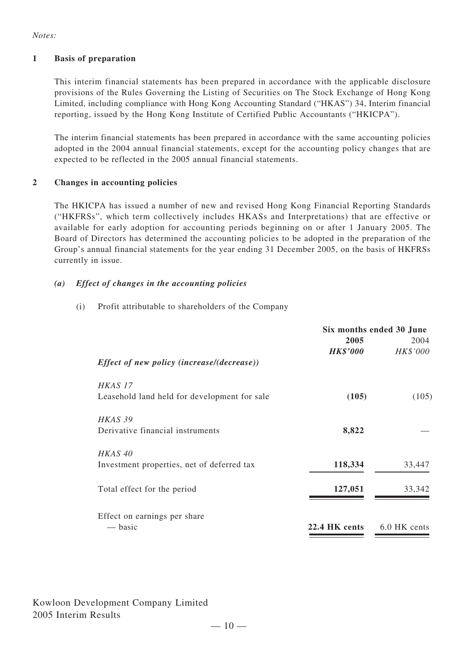### *Notes:*

### **1 Basis of preparation**

This interim financial statements has been prepared in accordance with the applicable disclosure provisions of the Rules Governing the Listing of Securities on The Stock Exchange of Hong Kong Limited, including compliance with Hong Kong Accounting Standard ("HKAS") 34, Interim financial reporting, issued by the Hong Kong Institute of Certified Public Accountants ("HKICPA").

The interim financial statements has been prepared in accordance with the same accounting policies adopted in the 2004 annual financial statements, except for the accounting policy changes that are expected to be reflected in the 2005 annual financial statements.

### **2 Changes in accounting policies**

The HKICPA has issued a number of new and revised Hong Kong Financial Reporting Standards ("HKFRSs", which term collectively includes HKASs and Interpretations) that are effective or available for early adoption for accounting periods beginning on or after 1 January 2005. The Board of Directors has determined the accounting policies to be adopted in the preparation of the Group's annual financial statements for the year ending 31 December 2005, on the basis of HKFRSs currently in issue.

### *(a) Effect of changes in the accounting policies*

(i) Profit attributable to shareholders of the Company

|                                                   | Six months ended 30 June |              |  |
|---------------------------------------------------|--------------------------|--------------|--|
|                                                   | 2005                     | 2004         |  |
|                                                   | <b>HK\$'000</b>          | HK\$'000     |  |
| <i>Effect of new policy (increase/(decrease))</i> |                          |              |  |
| HKAS 17                                           |                          |              |  |
| Leasehold land held for development for sale      | (105)                    | (105)        |  |
| HKAS 39                                           |                          |              |  |
| Derivative financial instruments                  | 8,822                    |              |  |
| HKAS <sub>40</sub>                                |                          |              |  |
| Investment properties, net of deferred tax        | 118,334                  | 33,447       |  |
| Total effect for the period                       | 127,051                  | 33,342       |  |
| Effect on earnings per share                      |                          |              |  |
| — basic                                           | 22.4 HK cents            | 6.0 HK cents |  |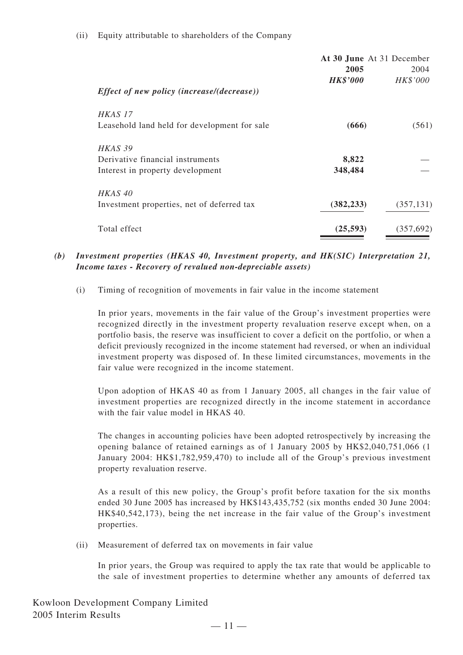### (ii) Equity attributable to shareholders of the Company

|                                                   | At 30 June At 31 December |            |
|---------------------------------------------------|---------------------------|------------|
|                                                   | 2005                      | 2004       |
| <i>Effect of new policy (increase/(decrease))</i> | <b>HK\$'000</b>           | HK\$'000   |
| HKAS 17                                           |                           |            |
| Leasehold land held for development for sale      | (666)                     | (561)      |
| HKAS 39                                           |                           |            |
| Derivative financial instruments                  | 8,822                     |            |
| Interest in property development                  | 348,484                   |            |
| HKAS 40                                           |                           |            |
| Investment properties, net of deferred tax        | (382, 233)                | (357, 131) |
| Total effect                                      | (25, 593)                 | (357,692)  |

### *(b) Investment properties (HKAS 40, Investment property, and HK(SIC) Interpretation 21, Income taxes - Recovery of revalued non-depreciable assets)*

(i) Timing of recognition of movements in fair value in the income statement

In prior years, movements in the fair value of the Group's investment properties were recognized directly in the investment property revaluation reserve except when, on a portfolio basis, the reserve was insufficient to cover a deficit on the portfolio, or when a deficit previously recognized in the income statement had reversed, or when an individual investment property was disposed of. In these limited circumstances, movements in the fair value were recognized in the income statement.

Upon adoption of HKAS 40 as from 1 January 2005, all changes in the fair value of investment properties are recognized directly in the income statement in accordance with the fair value model in HKAS 40.

The changes in accounting policies have been adopted retrospectively by increasing the opening balance of retained earnings as of 1 January 2005 by HK\$2,040,751,066 (1 January 2004: HK\$1,782,959,470) to include all of the Group's previous investment property revaluation reserve.

As a result of this new policy, the Group's profit before taxation for the six months ended 30 June 2005 has increased by HK\$143,435,752 (six months ended 30 June 2004: HK\$40,542,173), being the net increase in the fair value of the Group's investment properties.

(ii) Measurement of deferred tax on movements in fair value

In prior years, the Group was required to apply the tax rate that would be applicable to the sale of investment properties to determine whether any amounts of deferred tax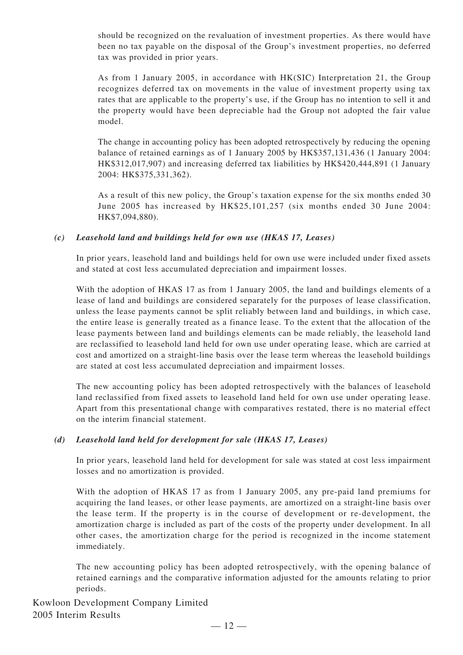should be recognized on the revaluation of investment properties. As there would have been no tax payable on the disposal of the Group's investment properties, no deferred tax was provided in prior years.

As from 1 January 2005, in accordance with HK(SIC) Interpretation 21, the Group recognizes deferred tax on movements in the value of investment property using tax rates that are applicable to the property's use, if the Group has no intention to sell it and the property would have been depreciable had the Group not adopted the fair value model.

The change in accounting policy has been adopted retrospectively by reducing the opening balance of retained earnings as of 1 January 2005 by HK\$357,131,436 (1 January 2004: HK\$312,017,907) and increasing deferred tax liabilities by HK\$420,444,891 (1 January 2004: HK\$375,331,362).

As a result of this new policy, the Group's taxation expense for the six months ended 30 June 2005 has increased by HK\$25,101,257 (six months ended 30 June 2004: HK\$7,094,880).

### *(c) Leasehold land and buildings held for own use (HKAS 17, Leases)*

In prior years, leasehold land and buildings held for own use were included under fixed assets and stated at cost less accumulated depreciation and impairment losses.

With the adoption of HKAS 17 as from 1 January 2005, the land and buildings elements of a lease of land and buildings are considered separately for the purposes of lease classification, unless the lease payments cannot be split reliably between land and buildings, in which case, the entire lease is generally treated as a finance lease. To the extent that the allocation of the lease payments between land and buildings elements can be made reliably, the leasehold land are reclassified to leasehold land held for own use under operating lease, which are carried at cost and amortized on a straight-line basis over the lease term whereas the leasehold buildings are stated at cost less accumulated depreciation and impairment losses.

The new accounting policy has been adopted retrospectively with the balances of leasehold land reclassified from fixed assets to leasehold land held for own use under operating lease. Apart from this presentational change with comparatives restated, there is no material effect on the interim financial statement.

### *(d) Leasehold land held for development for sale (HKAS 17, Leases)*

In prior years, leasehold land held for development for sale was stated at cost less impairment losses and no amortization is provided.

With the adoption of HKAS 17 as from 1 January 2005, any pre-paid land premiums for acquiring the land leases, or other lease payments, are amortized on a straight-line basis over the lease term. If the property is in the course of development or re-development, the amortization charge is included as part of the costs of the property under development. In all other cases, the amortization charge for the period is recognized in the income statement immediately.

The new accounting policy has been adopted retrospectively, with the opening balance of retained earnings and the comparative information adjusted for the amounts relating to prior periods.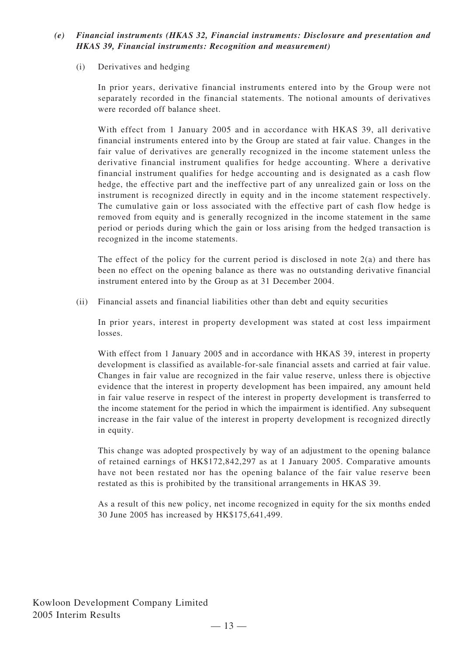# *(e) Financial instruments (HKAS 32, Financial instruments: Disclosure and presentation and HKAS 39, Financial instruments: Recognition and measurement)*

### (i) Derivatives and hedging

In prior years, derivative financial instruments entered into by the Group were not separately recorded in the financial statements. The notional amounts of derivatives were recorded off balance sheet.

With effect from 1 January 2005 and in accordance with HKAS 39, all derivative financial instruments entered into by the Group are stated at fair value. Changes in the fair value of derivatives are generally recognized in the income statement unless the derivative financial instrument qualifies for hedge accounting. Where a derivative financial instrument qualifies for hedge accounting and is designated as a cash flow hedge, the effective part and the ineffective part of any unrealized gain or loss on the instrument is recognized directly in equity and in the income statement respectively. The cumulative gain or loss associated with the effective part of cash flow hedge is removed from equity and is generally recognized in the income statement in the same period or periods during which the gain or loss arising from the hedged transaction is recognized in the income statements.

The effect of the policy for the current period is disclosed in note  $2(a)$  and there has been no effect on the opening balance as there was no outstanding derivative financial instrument entered into by the Group as at 31 December 2004.

(ii) Financial assets and financial liabilities other than debt and equity securities

In prior years, interest in property development was stated at cost less impairment losses.

With effect from 1 January 2005 and in accordance with HKAS 39, interest in property development is classified as available-for-sale financial assets and carried at fair value. Changes in fair value are recognized in the fair value reserve, unless there is objective evidence that the interest in property development has been impaired, any amount held in fair value reserve in respect of the interest in property development is transferred to the income statement for the period in which the impairment is identified. Any subsequent increase in the fair value of the interest in property development is recognized directly in equity.

This change was adopted prospectively by way of an adjustment to the opening balance of retained earnings of HK\$172,842,297 as at 1 January 2005. Comparative amounts have not been restated nor has the opening balance of the fair value reserve been restated as this is prohibited by the transitional arrangements in HKAS 39.

As a result of this new policy, net income recognized in equity for the six months ended 30 June 2005 has increased by HK\$175,641,499.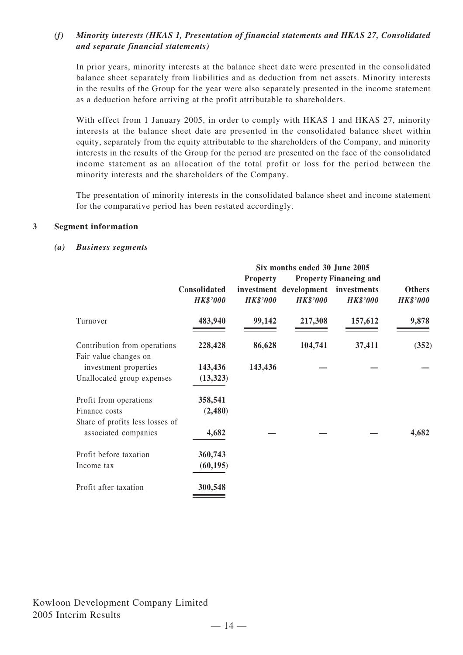# *(f) Minority interests (HKAS 1, Presentation of financial statements and HKAS 27, Consolidated and separate financial statements)*

In prior years, minority interests at the balance sheet date were presented in the consolidated balance sheet separately from liabilities and as deduction from net assets. Minority interests in the results of the Group for the year were also separately presented in the income statement as a deduction before arriving at the profit attributable to shareholders.

With effect from 1 January 2005, in order to comply with HKAS 1 and HKAS 27, minority interests at the balance sheet date are presented in the consolidated balance sheet within equity, separately from the equity attributable to the shareholders of the Company, and minority interests in the results of the Group for the period are presented on the face of the consolidated income statement as an allocation of the total profit or loss for the period between the minority interests and the shareholders of the Company.

The presentation of minority interests in the consolidated balance sheet and income statement for the comparative period has been restated accordingly.

### **3 Segment information**

#### *(a) Business segments*

|                                                | Six months ended 30 June 2005   |                                    |                                           |                                                                 |                                  |  |  |
|------------------------------------------------|---------------------------------|------------------------------------|-------------------------------------------|-----------------------------------------------------------------|----------------------------------|--|--|
|                                                | Consolidated<br><b>HK\$'000</b> | <b>Property</b><br><b>HK\$'000</b> | investment development<br><b>HK\$'000</b> | <b>Property Financing and</b><br>investments<br><b>HK\$'000</b> | <b>Others</b><br><b>HK\$'000</b> |  |  |
| Turnover                                       | 483,940                         | 99,142                             | 217,308                                   | 157,612                                                         | 9,878                            |  |  |
| Contribution from operations                   | 228,428                         | 86,628                             | 104,741                                   | 37,411                                                          | (352)                            |  |  |
| Fair value changes on<br>investment properties | 143,436                         | 143,436                            |                                           |                                                                 |                                  |  |  |
| Unallocated group expenses                     | (13, 323)                       |                                    |                                           |                                                                 |                                  |  |  |
| Profit from operations                         | 358,541                         |                                    |                                           |                                                                 |                                  |  |  |
| Finance costs                                  | (2,480)                         |                                    |                                           |                                                                 |                                  |  |  |
| Share of profits less losses of                |                                 |                                    |                                           |                                                                 |                                  |  |  |
| associated companies                           | 4,682                           |                                    |                                           |                                                                 | 4,682                            |  |  |
| Profit before taxation                         | 360,743                         |                                    |                                           |                                                                 |                                  |  |  |
| Income tax                                     | (60, 195)                       |                                    |                                           |                                                                 |                                  |  |  |
| Profit after taxation                          | 300,548                         |                                    |                                           |                                                                 |                                  |  |  |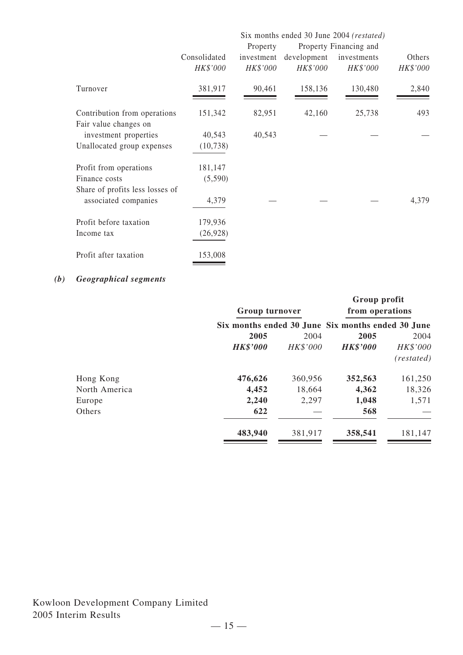|                                 | Six months ended 30 June 2004 (restated) |            |             |             |          |  |
|---------------------------------|------------------------------------------|------------|-------------|-------------|----------|--|
|                                 | Property Financing and<br>Property       |            |             |             |          |  |
|                                 | Consolidated                             | investment | development | investments | Others   |  |
|                                 | HK\$'000                                 | HK\$'000   | HK\$'000    | HK\$'000    | HK\$'000 |  |
| Turnover                        | 381,917                                  | 90,461     | 158,136     | 130,480     | 2,840    |  |
| Contribution from operations    | 151,342                                  | 82,951     | 42,160      | 25,738      | 493      |  |
| Fair value changes on           |                                          |            |             |             |          |  |
| investment properties           | 40,543                                   | 40,543     |             |             |          |  |
| Unallocated group expenses      | (10, 738)                                |            |             |             |          |  |
| Profit from operations          | 181,147                                  |            |             |             |          |  |
| Finance costs                   | (5,590)                                  |            |             |             |          |  |
| Share of profits less losses of |                                          |            |             |             |          |  |
| associated companies            | 4,379                                    |            |             |             | 4,379    |  |
| Profit before taxation          | 179,936                                  |            |             |             |          |  |
| Income tax                      | (26, 928)                                |            |             |             |          |  |
| Profit after taxation           | 153,008                                  |            |             |             |          |  |

# *(b) Geographical segments*

|               | Group turnover<br>Six months ended 30 June Six months ended 30 June |          | Group profit<br>from operations |            |  |
|---------------|---------------------------------------------------------------------|----------|---------------------------------|------------|--|
|               |                                                                     |          |                                 |            |  |
|               | 2005                                                                | 2004     | 2005                            | 2004       |  |
|               | <b>HK\$'000</b>                                                     | HK\$'000 | <b>HK\$'000</b>                 | HK\$'000   |  |
|               |                                                                     |          |                                 | (restated) |  |
| Hong Kong     | 476,626                                                             | 360,956  | 352,563                         | 161,250    |  |
| North America | 4,452                                                               | 18,664   | 4,362                           | 18,326     |  |
| Europe        | 2,240                                                               | 2,297    | 1,048                           | 1,571      |  |
| Others        | 622                                                                 |          | 568                             |            |  |
|               | 483,940                                                             | 381,917  | 358,541                         | 181,147    |  |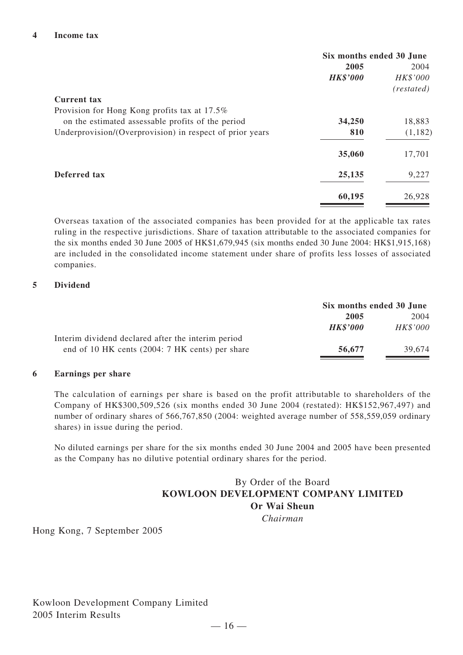|                                                          | Six months ended 30 June |            |  |
|----------------------------------------------------------|--------------------------|------------|--|
|                                                          | 2005                     | 2004       |  |
|                                                          | <b>HK\$'000</b>          | HK\$'000   |  |
|                                                          |                          | (restated) |  |
| <b>Current tax</b>                                       |                          |            |  |
| Provision for Hong Kong profits tax at 17.5%             |                          |            |  |
| on the estimated assessable profits of the period        | 34,250                   | 18,883     |  |
| Underprovision/(Overprovision) in respect of prior years | 810                      | (1,182)    |  |
|                                                          | 35,060                   | 17,701     |  |
| Deferred tax                                             | 25,135                   | 9,227      |  |
|                                                          | 60,195                   | 26,928     |  |

Overseas taxation of the associated companies has been provided for at the applicable tax rates ruling in the respective jurisdictions. Share of taxation attributable to the associated companies for the six months ended 30 June 2005 of HK\$1,679,945 (six months ended 30 June 2004: HK\$1,915,168) are included in the consolidated income statement under share of profits less losses of associated companies.

### **5 Dividend**

|                                                    | Six months ended 30 June |          |
|----------------------------------------------------|--------------------------|----------|
|                                                    | 2005                     | 2004     |
|                                                    | <b>HK\$'000</b>          | HK\$'000 |
| Interim dividend declared after the interim period |                          |          |
| end of 10 HK cents (2004: 7 HK cents) per share    | 56,677                   | 39.674   |

### **6 Earnings per share**

The calculation of earnings per share is based on the profit attributable to shareholders of the Company of HK\$300,509,526 (six months ended 30 June 2004 (restated): HK\$152,967,497) and number of ordinary shares of 566,767,850 (2004: weighted average number of 558,559,059 ordinary shares) in issue during the period.

No diluted earnings per share for the six months ended 30 June 2004 and 2005 have been presented as the Company has no dilutive potential ordinary shares for the period.

# By Order of the Board **KOWLOON DEVELOPMENT COMPANY LIMITED Or Wai Sheun**

*Chairman*

Hong Kong, 7 September 2005